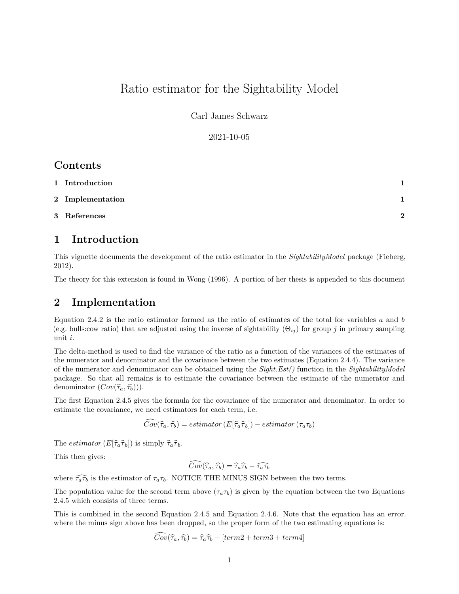# Ratio estimator for the Sightability Model

Carl James Schwarz

2021-10-05

### **Contents**

| 1 Introduction   |          |
|------------------|----------|
| 2 Implementation |          |
| 3 References     | $\Omega$ |

## <span id="page-0-0"></span>**1 Introduction**

This vignette documents the development of the ratio estimator in the *SightabilityModel* package (Fieberg, 2012).

The theory for this extension is found in Wong (1996). A portion of her thesis is appended to this document

### <span id="page-0-1"></span>**2 Implementation**

Equation 2.4.2 is the ratio estimator formed as the ratio of estimates of the total for variables *a* and *b* (e.g. bulls:cow ratio) that are adjusted using the inverse of sightability  $(\Theta_{ij})$  for group *j* in primary sampling unit *i*.

The delta-method is used to find the variance of the ratio as a function of the variances of the estimates of the numerator and denominator and the covariance between the two estimates (Equation 2.4.4). The variance of the numerator and denominator can be obtained using the *Sight.Est()* function in the *SightabilityModel* package. So that all remains is to estimate the covariance between the estimate of the numerator and denominator  $(Cov(\hat{\tau}_a, \hat{\tau}_b))$ .

The first Equation 2.4.5 gives the formula for the covariance of the numerator and denominator. In order to estimate the covariance, we need estimators for each term, i.e.

$$
\hat{Cov}(\widehat{\tau}_a, \widehat{\tau}_b) = estimator\left(E[\widehat{\tau}_a \widehat{\tau}_b]\right) - estimator\left(\tau_a \tau_b\right)
$$

The *estimator*  $(E[\hat{\tau}_a \hat{\tau}_b])$  is simply  $\hat{\tau}_a \hat{\tau}_b$ .

This then gives:

$$
\widehat{Cov}(\widehat{\tau}_a, \widehat{\tau}_b) = \widehat{\tau}_a \widehat{\tau}_b - \widehat{\tau_a \tau_b}
$$

where  $\widehat{\tau_a \tau_b}$  is the estimator of  $\tau_a \tau_b$ . NOTICE THE MINUS SIGN between the two terms.

The population value for the second term above  $(\tau_a \tau_b)$  is given by the equation between the two Equations 2.4.5 which consists of three terms.

This is combined in the second Equation 2.4.5 and Equation 2.4.6. Note that the equation has an error. where the minus sign above has been dropped, so the proper form of the two estimating equations is:

$$
\widehat{Cov}(\widehat{\tau}_a, \widehat{\tau}_b) = \widehat{\tau}_a \widehat{\tau}_b - [term2 + term3 + term4]
$$